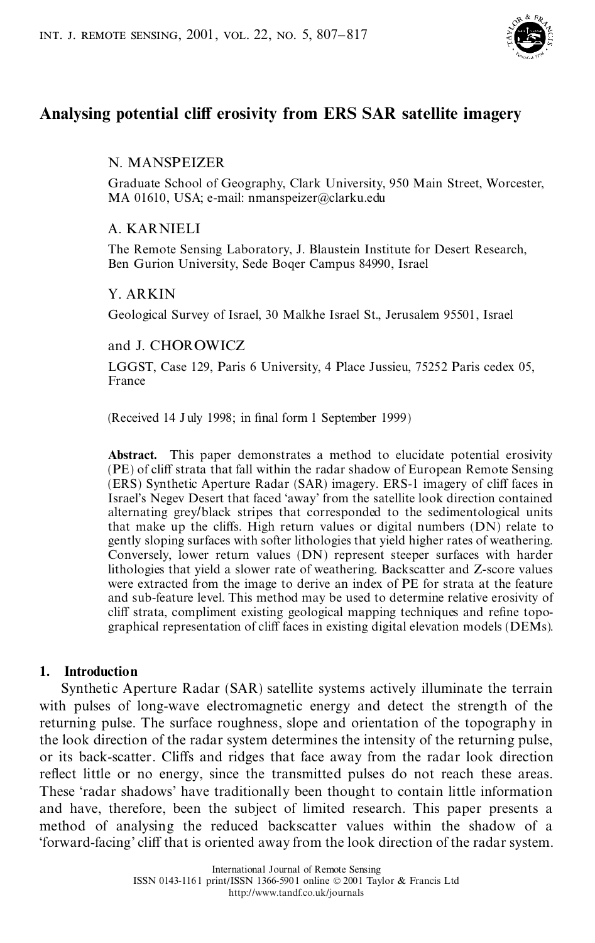

# **Analysing potential cliV erosivity from ERS SAR satellite imagery**

# N. MANSPEIZER

Graduate School of Geography, Clark University, 950 Main Street, Worcester, MA 01610, USA; e-mail: nmanspeizer@clarku.edu

# A. KARNIELI

The Remote Sensing Laboratory, J. Blaustein Institute for Desert Research, Ben Gurion University, Sede Boqer Campus 84990, Israel

# Y. ARKIN

Geological Survey of Israel, 30 Malkhe Israel St., Jerusalem 95501, Israel

## and J. CHOROWICZ

LGGST, Case 129, Paris 6 University, 4 Place Jussieu, 75252 Paris cedex 05, France

(Received 14 July 1998; in final form 1 September 1999)

**Abstract.** This paper demonstrates a method to elucidate potential erosivity (PE) of cliff strata that fall within the radar shadow of European Remote Sensing (ERS) Synthetic Aperture Radar (SAR) imagery. ERS-1 imagery of cliff faces in Israel's Negev Desert that faced `away' from the satellite look direction contained alternating grey/black stripes that corresponded to the sedimentological units that make up the cliffs. High return values or digital numbers (DN) relate to gently sloping surfaces with softer lithologies that yield higher rates of weathering. Conversely, lower return values (DN) represent steeper surfaces with harder lithologies that yield a slower rate of weathering. Backscatter and Z-score values were extracted from the image to derive an index of PE for strata at the feature and sub-feature level. This method may be used to determine relative erosivity of cliff strata, compliment existing geological mapping techniques and refine topographical representation of cliff faces in existing digital elevation models (DEMs).

## **1. Introduction**

Synthetic Aperture Radar (SAR) satellite systems actively illuminate the terrain with pulses of long-wave electromagnetic energy and detect the strength of the returning pulse. The surface roughness, slope and orientation of the topography in the look direction of the radar system determines the intensity of the returning pulse, or its back-scatter. Cliffs and ridges that face away from the radar look direction reflect little or no energy, since the transmitted pulses do not reach these areas. These `radar shadows' have traditionally been thought to contain little information and have, therefore, been the subject of limited research. This paper presents a method of analysing the reduced backscatter values within the shadow of a `forward-facing' cliV that is oriented away from the look direction of the radar system.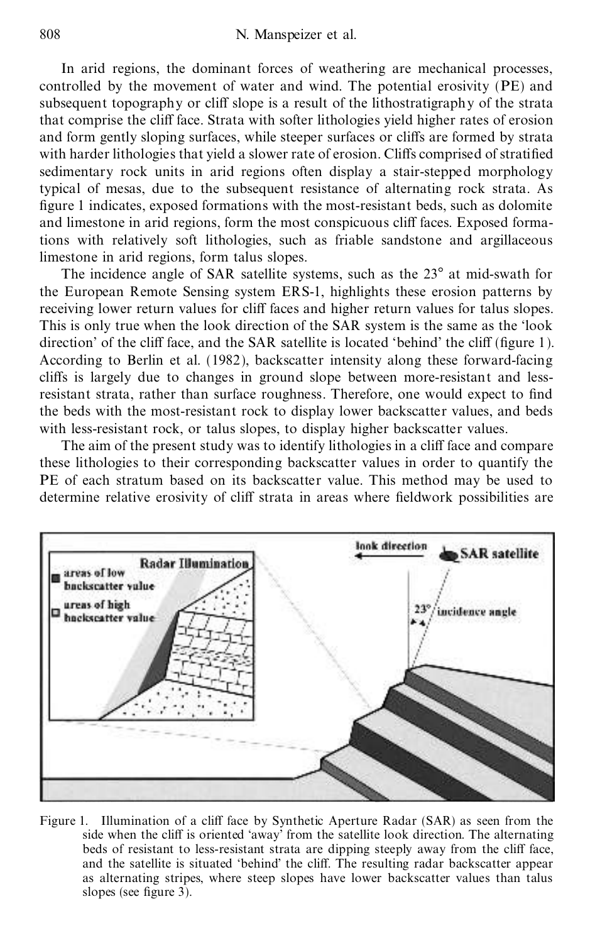In arid regions, the dominant forces of weathering are mechanical processes, controlled by the movement of water and wind. The potential erosivity (PE) and subsequent topography or cliff slope is a result of the lithostratigraphy of the strata that comprise the cliff face. Strata with softer lithologies yield higher rates of erosion and form gently sloping surfaces, while steeper surfaces or cliffs are formed by strata with harder lithologies that yield a slower rate of erosion. Cliffs comprised of stratified sedimentary rock units in arid regions often display a stair-stepped morphology typical of mesas, due to the subsequent resistance of alternating rock strata. As figure 1 indicates, exposed formations with the most-resistant beds, such as dolomite and limestone in arid regions, form the most conspicuous cliff faces. Exposed formations with relatively soft lithologies, such as friable sandstone and argillaceous limestone in arid regions, form talus slopes.

The incidence angle of SAR satellite systems, such as the  $23^\circ$  at mid-swath for the European Remote Sensing system ERS-1, highlights these erosion patterns by receiving lower return values for cliff faces and higher return values for talus slopes. This is only true when the look direction of the SAR system is the same as the 'look direction' of the cliff face, and the SAR satellite is located 'behind' the cliff (figure 1). According to Berlin et al. (1982), backscatter intensity along these forward-facing cliffs is largely due to changes in ground slope between more-resistant and lessresistant strata, rather than surface roughness. Therefore, one would expect to find the beds with the most-resistant rock to display lower backscatter values, and beds with less-resistant rock, or talus slopes, to display higher backscatter values.

The aim of the present study was to identify lithologies in a cliff face and compare these lithologies to their corresponding backscatter values in order to quantify the PE of each stratum based on its backscatter value. This method may be used to determine relative erosivity of cliff strata in areas where fieldwork possibilities are



Figure 1. Illumination of a cliff face by Synthetic Aperture Radar (SAR) as seen from the side when the cliff is oriented 'away' from the satellite look direction. The alternating beds of resistant to less-resistant strata are dipping steeply away from the cliff face, and the satellite is situated 'behind' the cliff. The resulting radar backscatter appear as alternating stripes, where steep slopes have lower backscatter values than talus slopes (see figure 3).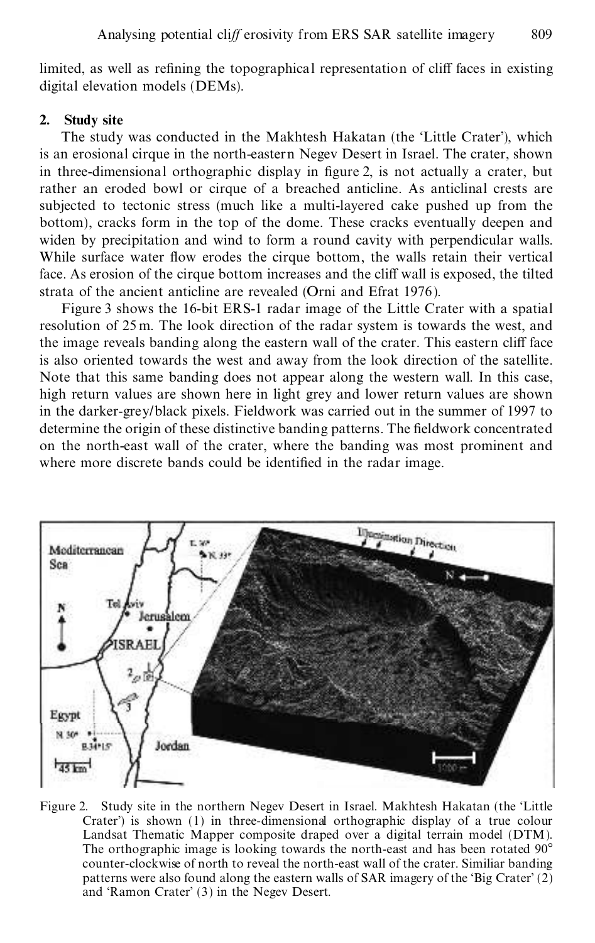limited, as well as refining the topographical representation of cliff faces in existing digital elevation models (DEMs).

## **2. Study site**

The study was conducted in the Makhtesh Hakatan (the 'Little Crater'), which is an erosional cirque in the north-eastern Negev Desert in Israel. The crater, shown in three-dimensional orthographic display in figure 2, is not actually a crater, but rather an eroded bowl or cirque of a breached anticline. As anticlinal crests are subjected to tectonic stress (much like a multi-layered cake pushed up from the bottom), cracks form in the top of the dome. These cracks eventually deepen and widen by precipitation and wind to form a round cavity with perpendicular walls. While surface water flow erodes the cirque bottom, the walls retain their vertical face. As erosion of the cirque bottom increases and the cliff wall is exposed, the tilted strata of the ancient anticline are revealed (Orni and Efrat 1976).

Figure 3 shows the 16-bit ERS-1 radar image of the Little Crater with a spatial resolution of 25 m. The look direction of the radar system is towards the west, and the image reveals banding along the eastern wall of the crater. This eastern cliff face is also oriented towards the west and away from the look direction of the satellite. Note that this same banding does not appear along the western wall. In this case, high return values are shown here in light grey and lower return values are shown in the darker-grey/black pixels. Fieldwork was carried out in the summer of 1997 to determine the origin of these distinctive banding patterns. The fieldwork concentrated on the north-east wall of the crater, where the banding was most prominent and where more discrete bands could be identified in the radar image.



Figure 2. Study site in the northern Negev Desert in Israel. Makhtesh Hakatan (the `Little Crater') is shown (1) in three-dimensional orthographic display of a true colour Landsat Thematic Mapper composite draped over a digital terrain model (DTM). The orthographic image is looking towards the north-east and has been rotated  $90^{\circ}$ counter-clockwise of north to reveal the north-east wall of the crater. Similiar banding patterns were also found along the eastern walls of SAR imagery of the 'Big Crater'  $(2)$ and `Ramon Crater' (3) in the Negev Desert.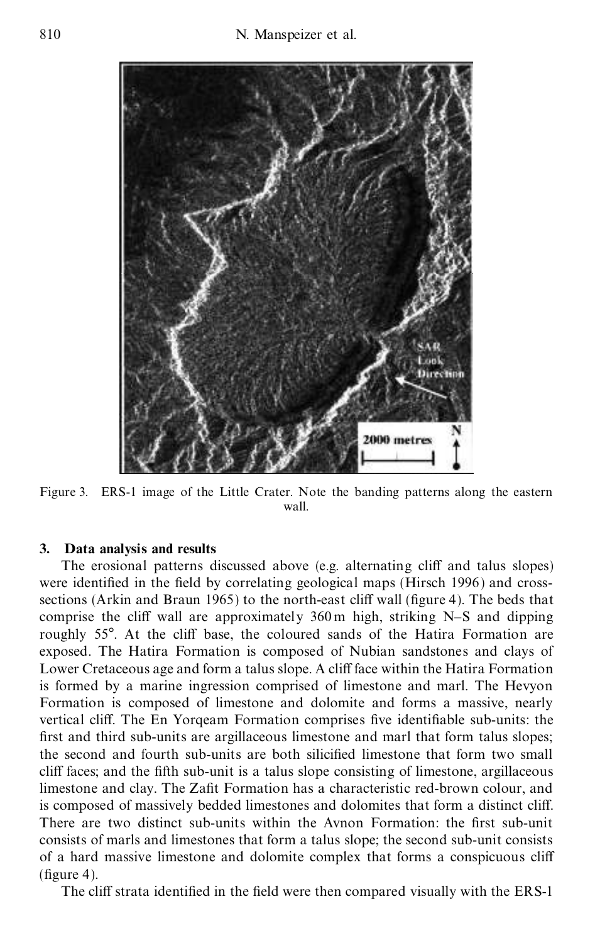

Figure 3. ERS-1 image of the Little Crater. Note the banding patterns along the eastern wall.

### **3. Data analysis and results**

The erosional patterns discussed above (e.g. alternating cliff and talus slopes) were identified in the field by correlating geological maps (Hirsch 1996) and crosssections (Arkin and Braun 1965) to the north-east cliff wall (figure 4). The beds that comprise the cliff wall are approximately  $360 \text{ m}$  high, striking N-S and dipping roughly 55°. At the cliff base, the coloured sands of the Hatira Formation are exposed. The Hatira Formation is composed of Nubian sandstones and clays of Lower Cretaceous age and form a talus slope. A cliff face within the Hatira Formation is formed by a marine ingression comprised of limestone and marl. The Hevyon Formation is composed of limestone and dolomite and forms a massive, nearly vertical cliff. The En Yorqeam Formation comprises five identifiable sub-units: the first and third sub-units are argillaceous limestone and marl that form talus slopes; the second and fourth sub-units are both silicified limestone that form two small cliff faces; and the fifth sub-unit is a talus slope consisting of limestone, argillaceous limestone and clay. The Zafit Formation has a characteristic red-brown colour, and is composed of massively bedded limestones and dolomites that form a distinct cliff. There are two distinct sub-units within the Avnon Formation: the first sub-unit consists of marls and limestones that form a talus slope; the second sub-unit consists of a hard massive limestone and dolomite complex that forms a conspicuous cliff  $(figure 4)$ .

The cliff strata identified in the field were then compared visually with the ERS-1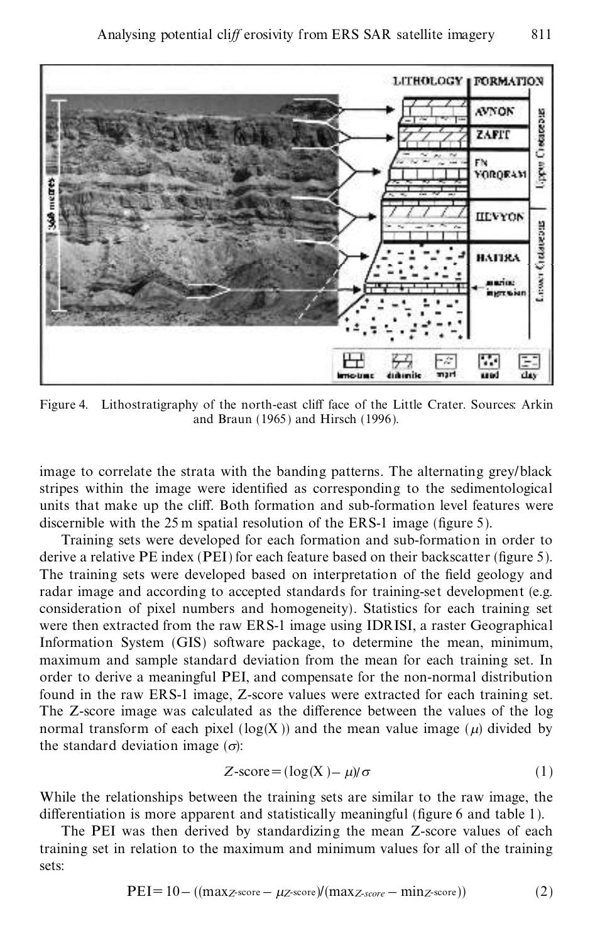

Figure 4. Lithostratigraphy of the north-east cliff face of the Little Crater. Sources: Arkin and Braun (1965) and Hirsch (1996).

image to correlate the strata with the banding patterns. The alternating grey/black stripes within the image were identified as corresponding to the sedimentological units that make up the cliff. Both formation and sub-formation level features were discernible with the  $25 \text{ m}$  spatial resolution of the ERS-1 image (figure 5).

Training sets were developed for each formation and sub-formation in order to derive a relative  $PE$  index ( $PEI$ ) for each feature based on their backscatter (figure 5). The training sets were developed based on interpretation of the field geology and radar image and according to accepted standards for training-set development (e.g. consideration of pixel numbers and homogeneity). Statistics for each training set were then extracted from the raw ERS-1 image using IDRISI, a raster Geographical Information System (GIS) software package, to determine the mean, minimum, maximum and sample standard deviation from the mean for each training set. In order to derive a meaningful PEI, and compensate for the non-normal distribution found in the raw ERS-1 image, Z-score values were extracted for each training set. The Z-score image was calculated as the difference between the values of the log normal transform of each pixel ( $log(X)$ ) and the mean value image ( $\mu$ ) divided by the standard deviation image  $(\sigma)$ :

$$
Z\text{-score} = (\log(X) - \mu)/\sigma \tag{1}
$$

While the relationships between the training sets are similar to the raw image, the differentiation is more apparent and statistically meaningful (figure  $6$  and table 1).

The PEI was then derived by standardizing the mean Z-score values of each training set in relation to the maximum and minimum values for all of the training sets:

$$
PEI = 10 - ((max_{Z\text{-score}} - \mu_{Z\text{-score}})/(max_{Z\text{-score}} - min_{Z\text{-score}}))
$$
(2)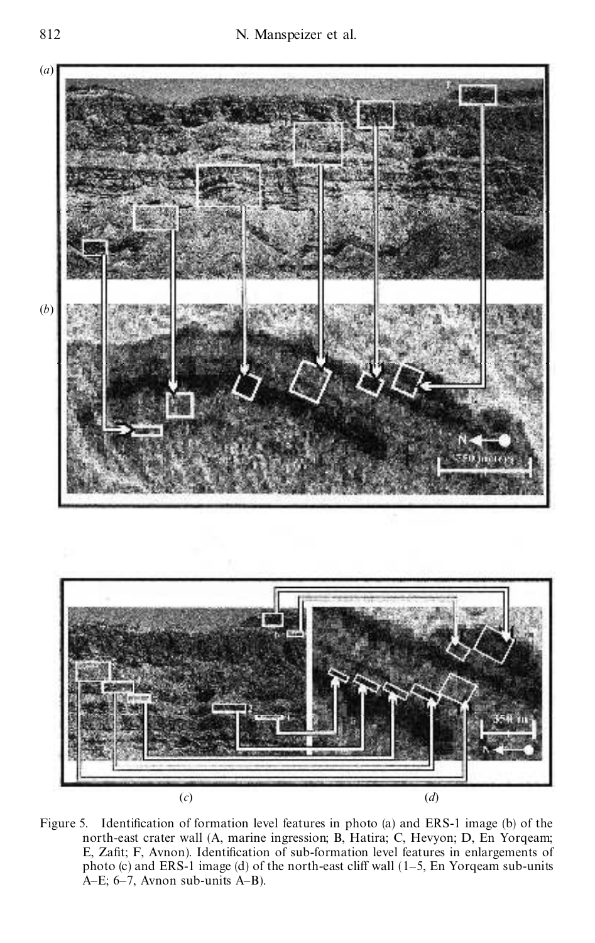



Figure 5. Identification of formation level features in photo (a) and ERS-1 image (b) of the north-east crater wall (A, marine ingression; B, Hatira; C, Hevyon; D, En Yorqeam; E, Zafit; F, Avnon). Identification of sub-formation level features in enlargements of photo (c) and ERS-1 image (d) of the north-east cliff wall  $(1-5, En Yorqeam sub-units)$ A $-E$ ; 6 $-7$ , Avnon sub-units A $-B$ ).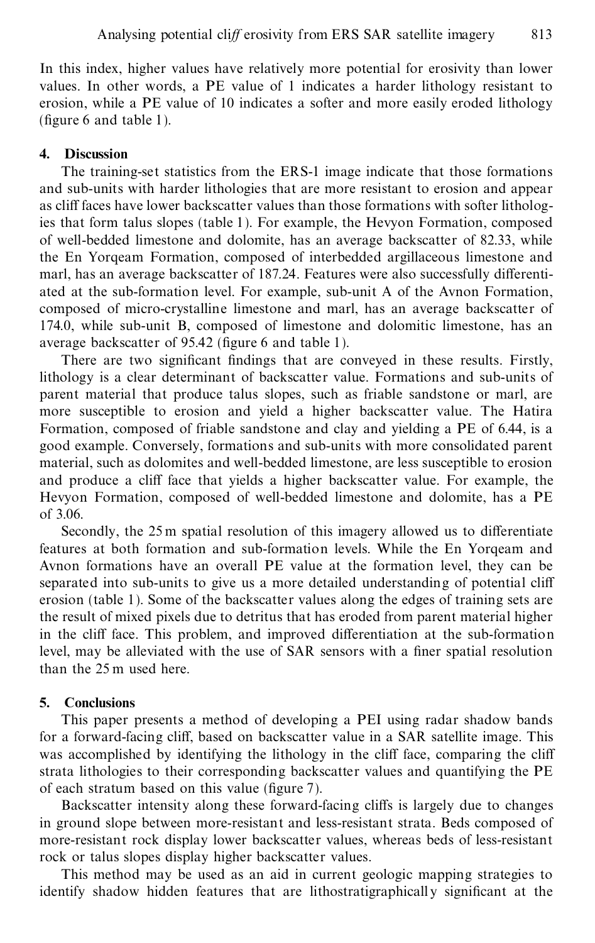In this index, higher values have relatively more potential for erosivity than lower values. In other words, a PE value of 1 indicates a harder lithology resistant to erosion, while a PE value of 10 indicates a softer and more easily eroded lithology (figure 6 and table 1).

#### **4. Discussion**

The training-set statistics from the ERS-1 image indicate that those formations and sub-units with harder lithologies that are more resistant to erosion and appear as cliff faces have lower backscatter values than those formations with softer lithologies that form talus slopes (table 1). For example, the Hevyon Formation, composed of well-bedded limestone and dolomite, has an average backscatter of 82.33, while the En Yorqeam Formation, composed of interbedded argillaceous limestone and marl, has an average backscatter of 187.24. Features were also successfully differentiated at the sub-formation level. For example, sub-unit A of the Avnon Formation, composed of micro-crystalline limestone and marl, has an average backscatter of 174.0, while sub-unit B, composed of limestone and dolomitic limestone, has an average backscatter of  $95.42$  (figure 6 and table 1).

There are two significant findings that are conveyed in these results. Firstly, lithology is a clear determinant of backscatter value. Formations and sub-units of parent material that produce talus slopes, such as friable sandstone or marl, are more susceptible to erosion and yield a higher backscatter value. The Hatira Formation, composed of friable sandstone and clay and yielding a PE of 6.44, is a good example. Conversely, formations and sub-units with more consolidated parent material, such as dolomites and well-bedded limestone, are less susceptible to erosion and produce a cliff face that yields a higher backscatter value. For example, the Hevyon Formation, composed of well-bedded limestone and dolomite, has a PE of 3.06.

Secondly, the 25 m spatial resolution of this imagery allowed us to differentiate features at both formation and sub-formation levels. While the En Yorqeam and Avnon formations have an overall PE value at the formation level, they can be separated into sub-units to give us a more detailed understanding of potential cliff erosion (table 1). Some of the backscatter values along the edges of training sets are the result of mixed pixels due to detritus that has eroded from parent material higher in the cliff face. This problem, and improved differentiation at the sub-formation level, may be alleviated with the use of SAR sensors with a finer spatial resolution than the 25 m used here.

#### **5. Conclusions**

This paper presents a method of developing a PEI using radar shadow bands for a forward-facing cliff, based on backscatter value in a SAR satellite image. This was accomplished by identifying the lithology in the cliff face, comparing the cliff strata lithologies to their corresponding backscatter values and quantifying the PE of each stratum based on this value (figure  $7$ ).

Backscatter intensity along these forward-facing cliffs is largely due to changes in ground slope between more-resistant and less-resistant strata. Beds composed of more-resistant rock display lower backscatter values, whereas beds of less-resistant rock or talus slopes display higher backscatter values.

This method may be used as an aid in current geologic mapping strategies to identify shadow hidden features that are lithostratigraphically significant at the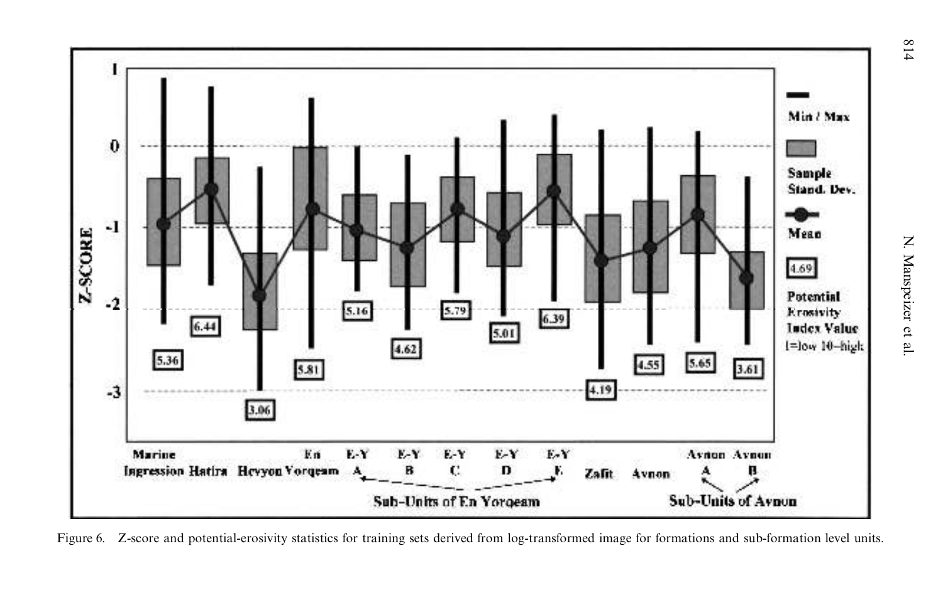

Figure 6. Z-score and potential-erosivity statistics for training sets derived from log-transformed image for formations and sub-formation level units.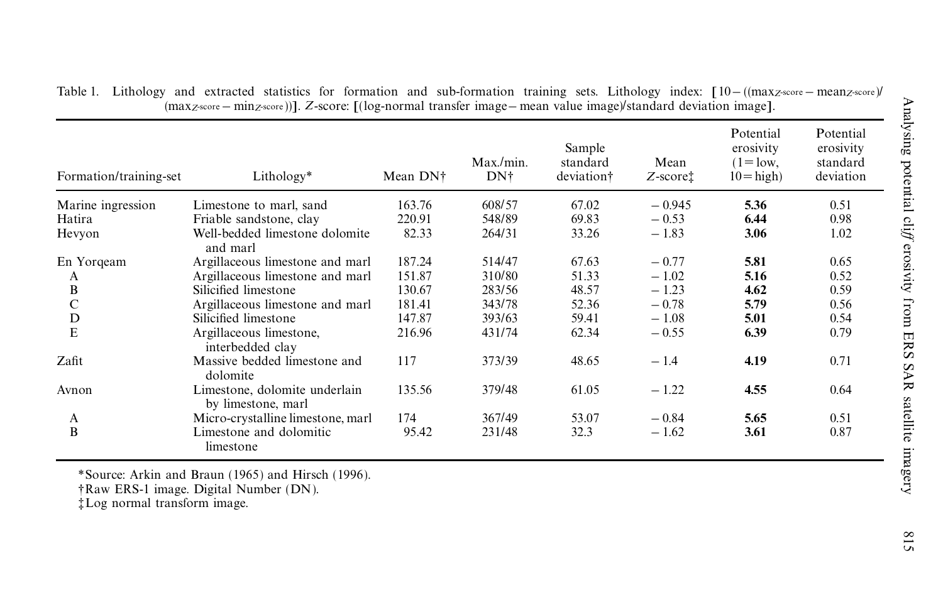| 608/57<br>163.76<br>67.02<br>$-0.945$<br>Marine ingression<br>Limestone to marl, sand<br>548/89<br>69.83<br>220.91<br>$-0.53$<br>Hatira<br>Friable sandstone, clay<br>Well-bedded limestone dolomite<br>33.26<br>82.33<br>264/31<br>$-1.83$<br>and marl<br>187.24<br>514/47<br>67.63<br>Argillaceous limestone and marl<br>$-0.77$<br>51.33<br>$-1.02$<br>151.87<br>310/80<br>Argillaceous limestone and marl<br>A<br>B<br>48.57<br>$-1.23$<br>Silicified limestone<br>130.67<br>283/56<br>$\mathsf{C}$<br>52.36<br>$-0.78$<br>181.41<br>343/78<br>Argillaceous limestone and marl<br>${\bf D}$<br>147.87<br>59.41<br>$-1.08$<br>Silicified limestone<br>393/63<br>E<br>62.34<br>Argillaceous limestone,<br>216.96<br>431/74<br>$-0.55$ | 5.36<br>6.44<br>3.06<br>5.81<br>5.16<br>4.62<br>5.79<br>5.01 | 0.51<br>0.98<br>1.02<br>0.65<br>0.52<br>0.59<br>0.56 |
|-----------------------------------------------------------------------------------------------------------------------------------------------------------------------------------------------------------------------------------------------------------------------------------------------------------------------------------------------------------------------------------------------------------------------------------------------------------------------------------------------------------------------------------------------------------------------------------------------------------------------------------------------------------------------------------------------------------------------------------------|--------------------------------------------------------------|------------------------------------------------------|
| Hevyon                                                                                                                                                                                                                                                                                                                                                                                                                                                                                                                                                                                                                                                                                                                                  |                                                              |                                                      |
| En Yorqeam                                                                                                                                                                                                                                                                                                                                                                                                                                                                                                                                                                                                                                                                                                                              |                                                              |                                                      |
|                                                                                                                                                                                                                                                                                                                                                                                                                                                                                                                                                                                                                                                                                                                                         |                                                              |                                                      |
|                                                                                                                                                                                                                                                                                                                                                                                                                                                                                                                                                                                                                                                                                                                                         |                                                              |                                                      |
|                                                                                                                                                                                                                                                                                                                                                                                                                                                                                                                                                                                                                                                                                                                                         |                                                              |                                                      |
|                                                                                                                                                                                                                                                                                                                                                                                                                                                                                                                                                                                                                                                                                                                                         |                                                              |                                                      |
|                                                                                                                                                                                                                                                                                                                                                                                                                                                                                                                                                                                                                                                                                                                                         |                                                              |                                                      |
|                                                                                                                                                                                                                                                                                                                                                                                                                                                                                                                                                                                                                                                                                                                                         |                                                              | 0.54                                                 |
| interbedded clay                                                                                                                                                                                                                                                                                                                                                                                                                                                                                                                                                                                                                                                                                                                        | 6.39                                                         | 0.79                                                 |
| Zafit<br>Massive bedded limestone and<br>117<br>373/39<br>48.65<br>$-1.4$<br>dolomite                                                                                                                                                                                                                                                                                                                                                                                                                                                                                                                                                                                                                                                   | 4.19                                                         | 0.71                                                 |
| Limestone, dolomite underlain<br>135.56<br>379/48<br>61.05<br>$-1.22$<br>Avnon<br>by limestone, marl                                                                                                                                                                                                                                                                                                                                                                                                                                                                                                                                                                                                                                    | 4.55                                                         | 0.64                                                 |
| 367/49<br>Micro-crystalline limestone, marl<br>174<br>53.07<br>$-0.84$<br>A                                                                                                                                                                                                                                                                                                                                                                                                                                                                                                                                                                                                                                                             | 5.65                                                         | 0.51                                                 |
| B<br>Limestone and dolomitic<br>95.42<br>231/48<br>32.3<br>$-1.62$<br>limestone                                                                                                                                                                                                                                                                                                                                                                                                                                                                                                                                                                                                                                                         | 3.61                                                         | 0.87                                                 |

 $-$  ((max*z*-score – mean*z*-score)/ (max*z*-score – min*z*-score))]. *Z*-score: [(log-normal transfer image– mean value image)/standard deviation image].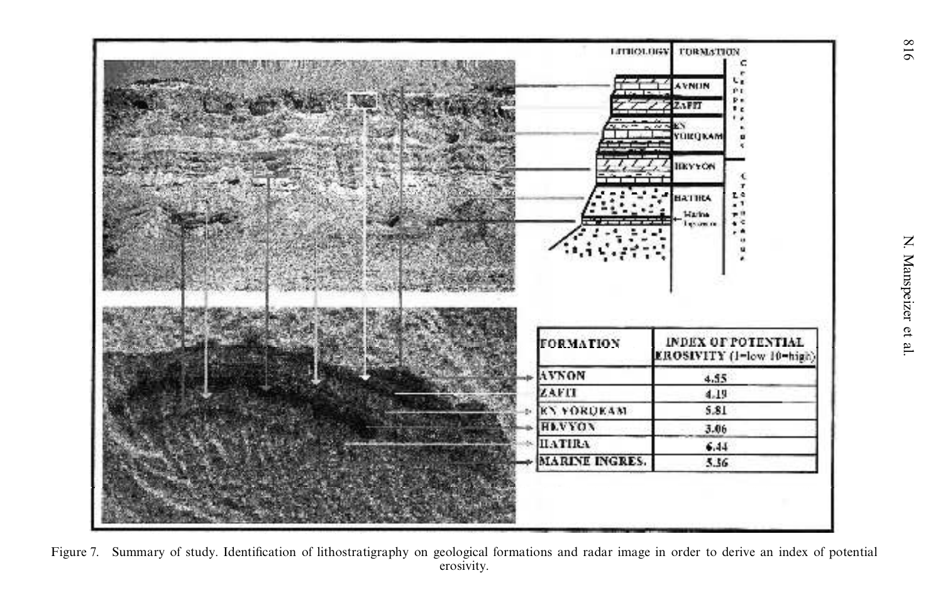

Figure 7. Summary of study. Identification of lithostratigraphy on geological formations and radar image in order to derive an index of potential erosivity.